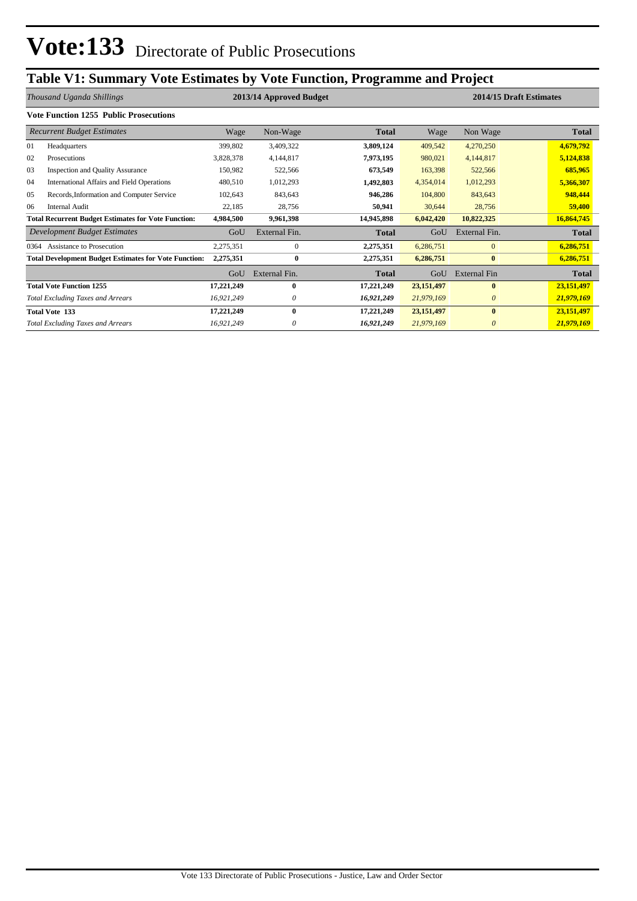# **Table V1: Summary Vote Estimates by Vote Function, Programme and Project**

|      | Thousand Uganda Shillings                                    | 2013/14 Approved Budget |               |              | 2014/15 Draft Estimates |                     |              |
|------|--------------------------------------------------------------|-------------------------|---------------|--------------|-------------------------|---------------------|--------------|
|      | <b>Vote Function 1255 Public Prosecutions</b>                |                         |               |              |                         |                     |              |
|      | <b>Recurrent Budget Estimates</b>                            | Wage                    | Non-Wage      | Total        | Wage                    | Non Wage            | <b>Total</b> |
| 01   | Headquarters                                                 | 399,802                 | 3,409,322     | 3,809,124    | 409,542                 | 4,270,250           | 4,679,792    |
| 02   | Prosecutions                                                 | 3,828,378               | 4,144,817     | 7,973,195    | 980,021                 | 4,144,817           | 5,124,838    |
| 03   | <b>Inspection and Quality Assurance</b>                      | 150,982                 | 522,566       | 673,549      | 163,398                 | 522,566             | 685,965      |
| 04   | International Affairs and Field Operations                   | 480,510                 | 1,012,293     | 1,492,803    | 4,354,014               | 1,012,293           | 5,366,307    |
| 05   | Records, Information and Computer Service                    | 102,643                 | 843,643       | 946,286      | 104,800                 | 843,643             | 948,444      |
| 06   | <b>Internal Audit</b>                                        | 22,185                  | 28,756        | 50,941       | 30,644                  | 28,756              | 59,400       |
|      | <b>Total Recurrent Budget Estimates for Vote Function:</b>   | 4,984,500               | 9,961,398     | 14,945,898   | 6,042,420               | 10,822,325          | 16,864,745   |
|      | Development Budget Estimates                                 | GoU                     | External Fin. | <b>Total</b> | GoU                     | External Fin.       | <b>Total</b> |
| 0364 | Assistance to Prosecution                                    | 2,275,351               | $\mathbf{0}$  | 2,275,351    | 6,286,751               | $\overline{0}$      | 6,286,751    |
|      | <b>Total Development Budget Estimates for Vote Function:</b> | 2,275,351               | $\mathbf{0}$  | 2,275,351    | 6,286,751               | $\bf{0}$            | 6,286,751    |
|      |                                                              | GoU                     | External Fin. | <b>Total</b> | GoU                     | <b>External Fin</b> | <b>Total</b> |
|      | <b>Total Vote Function 1255</b>                              | 17,221,249              | 0             | 17,221,249   | 23,151,497              | $\bf{0}$            | 23,151,497   |
|      | <b>Total Excluding Taxes and Arrears</b>                     | 16,921,249              | 0             | 16,921,249   | 21,979,169              | $\theta$            | 21,979,169   |
|      | <b>Total Vote 133</b>                                        | 17,221,249              | $\bf{0}$      | 17,221,249   | 23,151,497              | $\mathbf{0}$        | 23,151,497   |
|      | <b>Total Excluding Taxes and Arrears</b>                     | 16,921,249              | 0             | 16,921,249   | 21,979,169              | $\theta$            | 21,979,169   |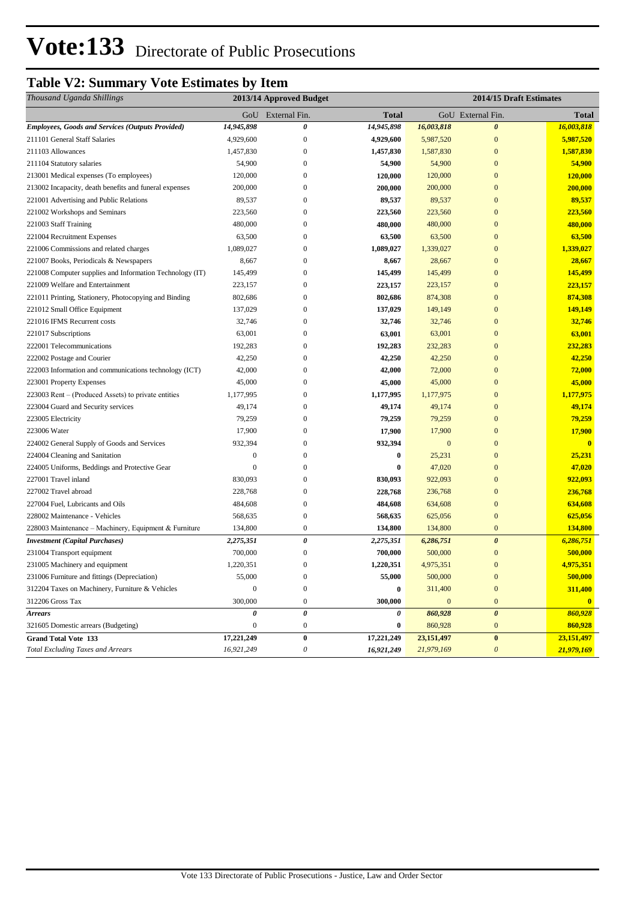# **Table V2: Summary Vote Estimates by Item**

| Thousand Uganda Shillings                                |                  | 2013/14 Approved Budget |              |              | 2014/15 Draft Estimates |                         |
|----------------------------------------------------------|------------------|-------------------------|--------------|--------------|-------------------------|-------------------------|
|                                                          |                  | GoU External Fin.       | <b>Total</b> |              | GoU External Fin.       | Total                   |
| <b>Employees, Goods and Services (Outputs Provided)</b>  | 14,945,898       | 0                       | 14,945,898   | 16,003,818   | $\boldsymbol{\theta}$   | 16,003,818              |
| 211101 General Staff Salaries                            | 4,929,600        | $\boldsymbol{0}$        | 4,929,600    | 5,987,520    | $\mathbf{0}$            | 5,987,520               |
| 211103 Allowances                                        | 1,457,830        | $\bf{0}$                | 1,457,830    | 1,587,830    | $\mathbf{0}$            | 1,587,830               |
| 211104 Statutory salaries                                | 54,900           | $\boldsymbol{0}$        | 54,900       | 54,900       | $\mathbf{0}$            | 54,900                  |
| 213001 Medical expenses (To employees)                   | 120,000          | $\boldsymbol{0}$        | 120,000      | 120,000      | $\mathbf{0}$            | 120,000                 |
| 213002 Incapacity, death benefits and funeral expenses   | 200,000          | $\boldsymbol{0}$        | 200,000      | 200,000      | $\mathbf{0}$            | 200,000                 |
| 221001 Advertising and Public Relations                  | 89,537           | $\boldsymbol{0}$        | 89,537       | 89,537       | $\mathbf{0}$            | 89,537                  |
| 221002 Workshops and Seminars                            | 223,560          | $\mathbf{0}$            | 223,560      | 223,560      | $\mathbf{0}$            | 223,560                 |
| 221003 Staff Training                                    | 480,000          | $\boldsymbol{0}$        | 480,000      | 480,000      | $\overline{0}$          | 480,000                 |
| 221004 Recruitment Expenses                              | 63,500           | $\boldsymbol{0}$        | 63,500       | 63,500       | $\mathbf{0}$            | 63,500                  |
| 221006 Commissions and related charges                   | 1,089,027        | $\boldsymbol{0}$        | 1,089,027    | 1,339,027    | $\overline{0}$          | 1,339,027               |
| 221007 Books, Periodicals & Newspapers                   | 8,667            | $\boldsymbol{0}$        | 8,667        | 28,667       | $\mathbf{0}$            | 28,667                  |
| 221008 Computer supplies and Information Technology (IT) | 145,499          | $\boldsymbol{0}$        | 145,499      | 145,499      | $\mathbf{0}$            | 145,499                 |
| 221009 Welfare and Entertainment                         | 223,157          | $\boldsymbol{0}$        | 223,157      | 223,157      | $\mathbf{0}$            | 223,157                 |
| 221011 Printing, Stationery, Photocopying and Binding    | 802,686          | $\boldsymbol{0}$        | 802,686      | 874,308      | $\mathbf{0}$            | 874,308                 |
| 221012 Small Office Equipment                            | 137,029          | $\boldsymbol{0}$        | 137,029      | 149,149      | $\mathbf{0}$            | 149,149                 |
| 221016 IFMS Recurrent costs                              | 32,746           | $\boldsymbol{0}$        | 32,746       | 32,746       | $\overline{0}$          | 32,746                  |
| 221017 Subscriptions                                     | 63,001           | $\boldsymbol{0}$        | 63,001       | 63,001       | $\overline{0}$          | 63,001                  |
| 222001 Telecommunications                                | 192,283          | $\boldsymbol{0}$        | 192,283      | 232,283      | $\mathbf{0}$            | 232,283                 |
| 222002 Postage and Courier                               | 42,250           | $\boldsymbol{0}$        | 42,250       | 42,250       | $\mathbf{0}$            | 42,250                  |
| 222003 Information and communications technology (ICT)   | 42,000           | $\boldsymbol{0}$        | 42,000       | 72,000       | $\mathbf{0}$            | 72,000                  |
| 223001 Property Expenses                                 | 45,000           | $\boldsymbol{0}$        | 45,000       | 45,000       | $\mathbf{0}$            | 45,000                  |
| 223003 Rent – (Produced Assets) to private entities      | 1,177,995        | $\boldsymbol{0}$        | 1,177,995    | 1,177,975    | $\mathbf{0}$            | 1,177,975               |
| 223004 Guard and Security services                       | 49,174           | $\boldsymbol{0}$        | 49,174       | 49,174       | $\mathbf{0}$            | 49,174                  |
| 223005 Electricity                                       | 79,259           | $\boldsymbol{0}$        | 79,259       | 79,259       | $\mathbf{0}$            | 79,259                  |
| 223006 Water                                             | 17,900           | $\boldsymbol{0}$        | 17,900       | 17,900       | $\mathbf{0}$            | 17,900                  |
| 224002 General Supply of Goods and Services              | 932,394          | $\mathbf{0}$            | 932,394      | $\mathbf{0}$ | $\mathbf{0}$            | $\overline{\mathbf{0}}$ |
| 224004 Cleaning and Sanitation                           | $\boldsymbol{0}$ | $\boldsymbol{0}$        | $\bf{0}$     | 25,231       | $\mathbf{0}$            | 25,231                  |
| 224005 Uniforms, Beddings and Protective Gear            | $\mathbf{0}$     | $\boldsymbol{0}$        | $\bf{0}$     | 47,020       | $\mathbf{0}$            | 47,020                  |
| 227001 Travel inland                                     | 830,093          | $\boldsymbol{0}$        | 830,093      | 922,093      | $\mathbf{0}$            | 922,093                 |
| 227002 Travel abroad                                     | 228,768          | $\bf{0}$                | 228,768      | 236,768      | $\mathbf{0}$            | 236,768                 |
| 227004 Fuel, Lubricants and Oils                         | 484,608          | $\boldsymbol{0}$        | 484,608      | 634,608      | $\mathbf{0}$            | 634,608                 |
| 228002 Maintenance - Vehicles                            | 568,635          | $\boldsymbol{0}$        | 568,635      | 625,056      | $\mathbf{0}$            | 625,056                 |
| 228003 Maintenance - Machinery, Equipment & Furniture    | 134,800          | $\boldsymbol{0}$        | 134,800      | 134,800      | $\boldsymbol{0}$        | 134,800                 |
| <b>Investment</b> (Capital Purchases)                    | 2,275,351        | $\pmb{\theta}$          | 2,275,351    | 6,286,751    | $\boldsymbol{\theta}$   | 6,286,751               |
| 231004 Transport equipment                               | 700,000          | $\boldsymbol{0}$        | 700,000      | 500,000      | $\mathbf{0}$            | 500,000                 |
| 231005 Machinery and equipment                           | 1,220,351        | $\boldsymbol{0}$        | 1,220,351    | 4,975,351    | $\overline{0}$          | 4,975,351               |
| 231006 Furniture and fittings (Depreciation)             | 55,000           | $\boldsymbol{0}$        | 55,000       | 500,000      | $\mathbf{0}$            | 500,000                 |
| 312204 Taxes on Machinery, Furniture & Vehicles          | $\boldsymbol{0}$ | $\boldsymbol{0}$        | $\bf{0}$     | 311,400      | $\boldsymbol{0}$        | 311,400                 |
| 312206 Gross Tax                                         | 300,000          | $\boldsymbol{0}$        | 300,000      | $\mathbf{0}$ | $\bf{0}$                | $\mathbf{0}$            |
| <b>Arrears</b>                                           | 0                | $\boldsymbol{\theta}$   | 0            | 860,928      | $\boldsymbol{\theta}$   | 860,928                 |
| 321605 Domestic arrears (Budgeting)                      | 0                | $\boldsymbol{0}$        | $\bf{0}$     | 860,928      | $\bf{0}$                | 860,928                 |
| <b>Grand Total Vote 133</b>                              | 17,221,249       | $\boldsymbol{0}$        | 17,221,249   | 23, 151, 497 | $\bf{0}$                | 23,151,497              |
| <b>Total Excluding Taxes and Arrears</b>                 | 16,921,249       | $\theta$                | 16,921,249   | 21,979,169   | $\boldsymbol{\theta}$   | 21,979,169              |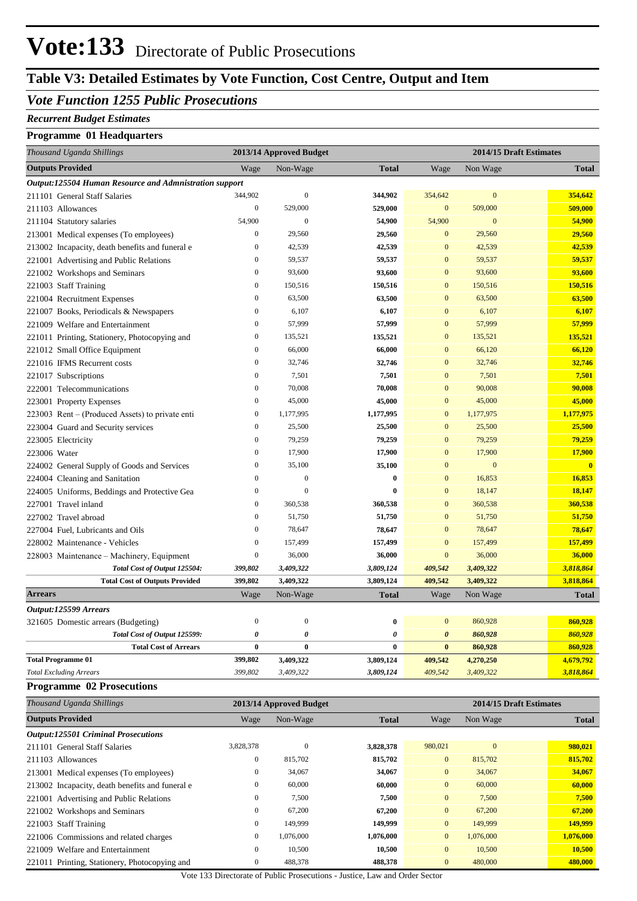## **Table V3: Detailed Estimates by Vote Function, Cost Centre, Output and Item**

### *Vote Function 1255 Public Prosecutions*

#### *Recurrent Budget Estimates*

#### **Programme 01 Headquarters**

| Thousand Uganda Shillings                              | 2013/14 Approved Budget |                       |                       | 2014/15 Draft Estimates |                |              |  |
|--------------------------------------------------------|-------------------------|-----------------------|-----------------------|-------------------------|----------------|--------------|--|
| <b>Outputs Provided</b>                                | Wage                    | Non-Wage              | <b>Total</b>          | Wage                    | Non Wage       | <b>Total</b> |  |
| Output:125504 Human Resource and Admnistration support |                         |                       |                       |                         |                |              |  |
| 211101 General Staff Salaries                          | 344,902                 | $\boldsymbol{0}$      | 344,902               | 354,642                 | $\mathbf{0}$   | 354,642      |  |
| 211103 Allowances                                      | $\mathbf{0}$            | 529,000               | 529,000               | $\mathbf{0}$            | 509,000        | 509,000      |  |
| 211104 Statutory salaries                              | 54,900                  | $\theta$              | 54,900                | 54,900                  | $\overline{0}$ | 54,900       |  |
| 213001 Medical expenses (To employees)                 | $\boldsymbol{0}$        | 29,560                | 29,560                | $\mathbf{0}$            | 29,560         | 29,560       |  |
| 213002 Incapacity, death benefits and funeral e        | $\mathbf{0}$            | 42,539                | 42,539                | $\mathbf{0}$            | 42,539         | 42,539       |  |
| 221001 Advertising and Public Relations                | $\overline{0}$          | 59,537                | 59,537                | $\overline{0}$          | 59,537         | 59,537       |  |
| 221002 Workshops and Seminars                          | $\overline{0}$          | 93,600                | 93,600                | $\mathbf{0}$            | 93,600         | 93,600       |  |
| 221003 Staff Training                                  | $\overline{0}$          | 150,516               | 150,516               | $\overline{0}$          | 150,516        | 150,516      |  |
| 221004 Recruitment Expenses                            | $\boldsymbol{0}$        | 63,500                | 63,500                | $\mathbf{0}$            | 63,500         | 63,500       |  |
| 221007 Books, Periodicals & Newspapers                 | $\mathbf{0}$            | 6,107                 | 6,107                 | $\mathbf{0}$            | 6,107          | 6,107        |  |
| 221009 Welfare and Entertainment                       | $\boldsymbol{0}$        | 57,999                | 57,999                | $\mathbf{0}$            | 57,999         | 57,999       |  |
| 221011 Printing, Stationery, Photocopying and          | $\overline{0}$          | 135,521               | 135,521               | $\overline{0}$          | 135,521        | 135,521      |  |
| 221012 Small Office Equipment                          | $\boldsymbol{0}$        | 66,000                | 66,000                | $\mathbf{0}$            | 66,120         | 66,120       |  |
| 221016 IFMS Recurrent costs                            | $\boldsymbol{0}$        | 32,746                | 32,746                | $\mathbf{0}$            | 32,746         | 32,746       |  |
| 221017 Subscriptions                                   | $\mathbf{0}$            | 7,501                 | 7,501                 | $\overline{0}$          | 7,501          | 7,501        |  |
| 222001 Telecommunications                              | $\overline{0}$          | 70,008                | 70,008                | $\overline{0}$          | 90,008         | 90,008       |  |
| 223001 Property Expenses                               | $\overline{0}$          | 45,000                | 45,000                | $\overline{0}$          | 45,000         | 45,000       |  |
| 223003 Rent - (Produced Assets) to private enti        | $\boldsymbol{0}$        | 1,177,995             | 1,177,995             | $\mathbf{0}$            | 1,177,975      | 1,177,975    |  |
| 223004 Guard and Security services                     | $\overline{0}$          | 25,500                | 25,500                | $\mathbf{0}$            | 25,500         | 25,500       |  |
| 223005 Electricity                                     | $\overline{0}$          | 79,259                | 79,259                | $\mathbf{0}$            | 79,259         | 79,259       |  |
| 223006 Water                                           | $\overline{0}$          | 17,900                | 17,900                | $\overline{0}$          | 17,900         | 17,900       |  |
| 224002 General Supply of Goods and Services            | $\mathbf{0}$            | 35,100                | 35,100                | $\mathbf{0}$            | $\mathbf{0}$   | $\mathbf{0}$ |  |
| 224004 Cleaning and Sanitation                         | $\overline{0}$          | $\overline{0}$        | $\bf{0}$              | $\overline{0}$          | 16,853         | 16,853       |  |
| 224005 Uniforms, Beddings and Protective Gea           | $\boldsymbol{0}$        | $\Omega$              | $\bf{0}$              | $\mathbf{0}$            | 18,147         | 18,147       |  |
| 227001 Travel inland                                   | $\overline{0}$          | 360,538               | 360,538               | $\overline{0}$          | 360,538        | 360,538      |  |
| 227002 Travel abroad                                   | $\theta$                | 51,750                | 51,750                | $\overline{0}$          | 51,750         | 51,750       |  |
| 227004 Fuel, Lubricants and Oils                       | $\overline{0}$          | 78,647                | 78,647                | $\mathbf{0}$            | 78,647         | 78,647       |  |
| 228002 Maintenance - Vehicles                          | $\boldsymbol{0}$        | 157,499               | 157,499               | $\mathbf{0}$            | 157,499        | 157,499      |  |
| 228003 Maintenance – Machinery, Equipment              | $\boldsymbol{0}$        | 36,000                | 36,000                | $\mathbf{0}$            | 36,000         | 36,000       |  |
| Total Cost of Output 125504:                           | 399,802                 | 3,409,322             | 3,809,124             | 409,542                 | 3,409,322      | 3,818,864    |  |
| <b>Total Cost of Outputs Provided</b>                  | 399,802                 | 3,409,322             | 3,809,124             | 409,542                 | 3,409,322      | 3,818,864    |  |
| <b>Arrears</b>                                         | Wage                    | Non-Wage              | <b>Total</b>          | Wage                    | Non Wage       | <b>Total</b> |  |
| Output:125599 Arrears                                  |                         |                       |                       |                         |                |              |  |
| 321605 Domestic arrears (Budgeting)                    | $\mathbf{0}$            | $\mathbf{0}$          | $\bf{0}$              | $\mathbf{0}$            | 860,928        | 860,928      |  |
| Total Cost of Output 125599:                           | $\boldsymbol{\theta}$   | $\boldsymbol{\theta}$ | $\boldsymbol{\theta}$ | $\boldsymbol{\theta}$   | 860,928        | 860,928      |  |
| <b>Total Cost of Arrears</b>                           | $\bf{0}$                | $\bf{0}$              | $\bf{0}$              | $\bf{0}$                | 860,928        | 860,928      |  |
| <b>Total Programme 01</b>                              | 399,802                 | 3,409,322             | 3,809,124             | 409,542                 | 4,270,250      | 4,679,792    |  |
| <b>Total Excluding Arrears</b>                         | 399,802                 | 3,409,322             | 3,809,124             | 409,542                 | 3,409,322      | 3,818,864    |  |

#### **Programme 02 Prosecutions**

| Thousand Uganda Shillings                       |                  | 2013/14 Approved Budget |              |                | 2014/15 Draft Estimates |              |  |
|-------------------------------------------------|------------------|-------------------------|--------------|----------------|-------------------------|--------------|--|
| <b>Outputs Provided</b>                         | Wage             | Non-Wage                | <b>Total</b> | Wage           | Non Wage                | <b>Total</b> |  |
| <b>Output:125501 Criminal Prosecutions</b>      |                  |                         |              |                |                         |              |  |
| 211101 General Staff Salaries                   | 3,828,378        | $\mathbf{0}$            | 3,828,378    | 980,021        | $\mathbf{0}$            | 980,021      |  |
| 211103 Allowances                               | $\boldsymbol{0}$ | 815,702                 | 815,702      | $\overline{0}$ | 815,702                 | 815,702      |  |
| 213001 Medical expenses (To employees)          | $\mathbf{0}$     | 34,067                  | 34,067       | $\overline{0}$ | 34,067                  | 34,067       |  |
| 213002 Incapacity, death benefits and funeral e | $\mathbf{0}$     | 60,000                  | 60,000       | $\overline{0}$ | 60,000                  | 60,000       |  |
| 221001 Advertising and Public Relations         | $\mathbf{0}$     | 7,500                   | 7,500        | $\overline{0}$ | 7,500                   | 7,500        |  |
| 221002 Workshops and Seminars                   | $\boldsymbol{0}$ | 67,200                  | 67,200       | $\mathbf{0}$   | 67,200                  | 67,200       |  |
| 221003 Staff Training                           | $\mathbf{0}$     | 149,999                 | 149,999      | $\mathbf{0}$   | 149,999                 | 149,999      |  |
| 221006 Commissions and related charges          | $\mathbf{0}$     | 1,076,000               | 1,076,000    | $\overline{0}$ | 1,076,000               | 1,076,000    |  |
| 221009 Welfare and Entertainment                | $\boldsymbol{0}$ | 10,500                  | 10,500       | $\overline{0}$ | 10,500                  | 10,500       |  |
| 221011 Printing, Stationery, Photocopying and   | $\boldsymbol{0}$ | 488,378                 | 488,378      | $\mathbf{0}$   | 480,000                 | 480,000      |  |

Vote 133 Directorate of Public Prosecutions - Justice, Law and Order Sector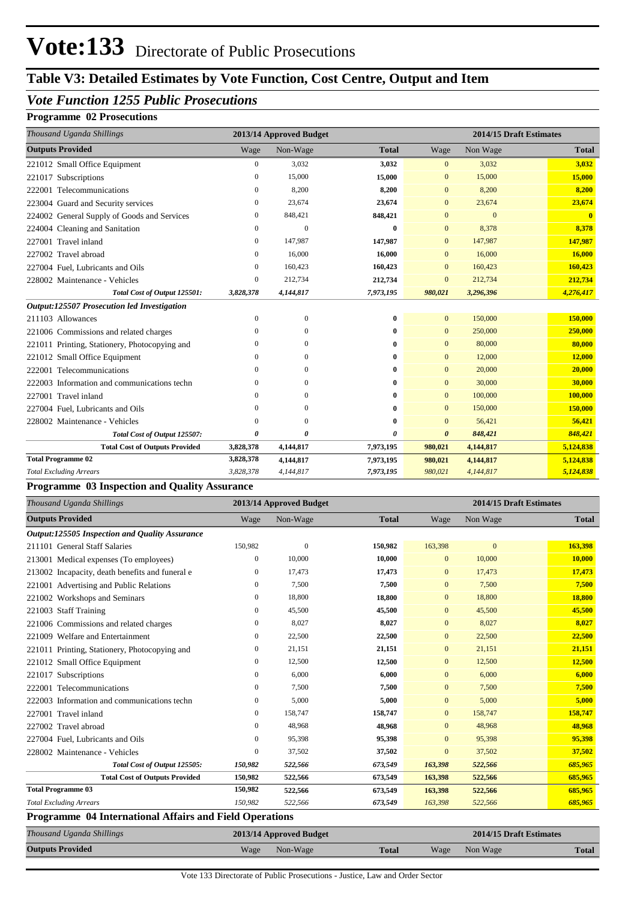# **Table V3: Detailed Estimates by Vote Function, Cost Centre, Output and Item**

### *Vote Function 1255 Public Prosecutions*

#### **Programme 02 Prosecutions**

| Thousand Uganda Shillings                     |              | 2013/14 Approved Budget |              |                       |                | 2014/15 Draft Estimates |
|-----------------------------------------------|--------------|-------------------------|--------------|-----------------------|----------------|-------------------------|
| <b>Outputs Provided</b>                       | Wage         | Non-Wage                | <b>Total</b> | Wage                  | Non Wage       | <b>Total</b>            |
| 221012 Small Office Equipment                 | $\mathbf{0}$ | 3,032                   | 3,032        | $\overline{0}$        | 3,032          | 3,032                   |
| 221017 Subscriptions                          | $\mathbf{0}$ | 15,000                  | 15,000       | $\mathbf{0}$          | 15,000         | 15,000                  |
| Telecommunications<br>222001                  | $\mathbf{0}$ | 8,200                   | 8,200        | $\mathbf{0}$          | 8,200          | 8,200                   |
| 223004 Guard and Security services            | 0            | 23,674                  | 23,674       | $\mathbf{0}$          | 23,674         | 23,674                  |
| 224002 General Supply of Goods and Services   | $\mathbf{0}$ | 848,421                 | 848,421      | $\overline{0}$        | $\overline{0}$ | $\mathbf{0}$            |
| 224004 Cleaning and Sanitation                | $\mathbf{0}$ | $\theta$                | $\bf{0}$     | $\mathbf{0}$          | 8,378          | 8,378                   |
| Travel inland<br>227001                       | $\mathbf{0}$ | 147,987                 | 147,987      | $\mathbf{0}$          | 147,987        | 147,987                 |
| 227002 Travel abroad                          | 0            | 16,000                  | 16,000       | $\mathbf{0}$          | 16,000         | 16,000                  |
| 227004 Fuel, Lubricants and Oils              | $\mathbf{0}$ | 160,423                 | 160,423      | $\overline{0}$        | 160,423        | 160,423                 |
| 228002 Maintenance - Vehicles                 | $\mathbf{0}$ | 212,734                 | 212,734      | $\overline{0}$        | 212,734        | 212,734                 |
| Total Cost of Output 125501:                  | 3,828,378    | 4,144,817               | 7,973,195    | 980,021               | 3,296,396      | 4,276,417               |
| Output:125507 Prosecution led Investigation   |              |                         |              |                       |                |                         |
| 211103 Allowances                             | $\mathbf{0}$ | $\mathbf{0}$            | 0            | $\overline{0}$        | 150,000        | 150,000                 |
| 221006 Commissions and related charges        | $\Omega$     | $\Omega$                | 0            | $\mathbf{0}$          | 250,000        | 250,000                 |
| 221011 Printing, Stationery, Photocopying and | $\Omega$     | $\Omega$                | 0            | $\mathbf{0}$          | 80,000         | 80,000                  |
| 221012 Small Office Equipment                 | $\Omega$     | $\Omega$                | 0            | $\mathbf{0}$          | 12,000         | 12,000                  |
| 222001 Telecommunications                     | 0            | 0                       | 0            | $\mathbf{0}$          | 20,000         | 20,000                  |
| 222003 Information and communications techn   | $\mathbf{0}$ | $\Omega$                | 0            | $\overline{0}$        | 30,000         | 30,000                  |
| 227001 Travel inland                          | $\Omega$     | $\Omega$                | 0            | $\mathbf{0}$          | 100,000        | 100,000                 |
| 227004 Fuel, Lubricants and Oils              | $\Omega$     | 0                       | 0            | $\mathbf{0}$          | 150,000        | 150,000                 |
| 228002 Maintenance - Vehicles                 | $\theta$     | $\Omega$                | $\bf{0}$     | $\overline{0}$        | 56,421         | 56,421                  |
| Total Cost of Output 125507:                  | 0            | 0                       | 0            | $\boldsymbol{\theta}$ | 848,421        | 848,421                 |
| <b>Total Cost of Outputs Provided</b>         | 3,828,378    | 4,144,817               | 7,973,195    | 980,021               | 4,144,817      | 5,124,838               |
| <b>Total Programme 02</b>                     | 3,828,378    | 4,144,817               | 7,973,195    | 980,021               | 4,144,817      | 5,124,838               |
| <b>Total Excluding Arrears</b>                | 3,828,378    | 4,144,817               | 7,973,195    | 980,021               | 4,144,817      | 5,124,838               |

#### **Programme 03 Inspection and Quality Assurance**

| Thousand Uganda Shillings                                      |                  | 2013/14 Approved Budget |              |                |                | 2014/15 Draft Estimates |
|----------------------------------------------------------------|------------------|-------------------------|--------------|----------------|----------------|-------------------------|
| <b>Outputs Provided</b>                                        | Wage             | Non-Wage                | <b>Total</b> | Wage           | Non Wage       | <b>Total</b>            |
| Output:125505 Inspection and Quality Assurance                 |                  |                         |              |                |                |                         |
| 211101 General Staff Salaries                                  | 150,982          | $\theta$                | 150,982      | 163,398        | $\overline{0}$ | 163,398                 |
| 213001 Medical expenses (To employees)                         | $\mathbf{0}$     | 10,000                  | 10,000       | $\mathbf{0}$   | 10,000         | 10,000                  |
| 213002 Incapacity, death benefits and funeral e                | 0                | 17,473                  | 17,473       | $\mathbf{0}$   | 17,473         | 17,473                  |
| 221001 Advertising and Public Relations                        | $\mathbf{0}$     | 7,500                   | 7,500        | $\mathbf{0}$   | 7,500          | 7,500                   |
| 221002 Workshops and Seminars                                  | $\boldsymbol{0}$ | 18,800                  | 18,800       | $\mathbf{0}$   | 18,800         | 18,800                  |
| 221003 Staff Training                                          | $\mathbf{0}$     | 45,500                  | 45,500       | $\mathbf{0}$   | 45,500         | 45,500                  |
| 221006 Commissions and related charges                         | $\boldsymbol{0}$ | 8,027                   | 8,027        | $\mathbf{0}$   | 8,027          | 8,027                   |
| 221009 Welfare and Entertainment                               | $\mathbf{0}$     | 22,500                  | 22,500       | $\mathbf{0}$   | 22,500         | 22,500                  |
| 221011 Printing, Stationery, Photocopying and                  | $\mathbf{0}$     | 21,151                  | 21,151       | $\mathbf{0}$   | 21,151         | 21,151                  |
| 221012 Small Office Equipment                                  | $\mathbf{0}$     | 12,500                  | 12,500       | $\mathbf{0}$   | 12,500         | 12,500                  |
| 221017 Subscriptions                                           | $\mathbf{0}$     | 6,000                   | 6,000        | $\overline{0}$ | 6,000          | 6,000                   |
| Telecommunications<br>222001                                   | 0                | 7,500                   | 7,500        | $\overline{0}$ | 7,500          | 7,500                   |
| 222003 Information and communications techn                    | $\boldsymbol{0}$ | 5,000                   | 5,000        | $\overline{0}$ | 5,000          | 5,000                   |
| Travel inland<br>227001                                        | $\boldsymbol{0}$ | 158,747                 | 158,747      | $\overline{0}$ | 158,747        | 158,747                 |
| Travel abroad<br>227002                                        | $\mathbf{0}$     | 48,968                  | 48,968       | $\mathbf{0}$   | 48,968         | 48,968                  |
| 227004 Fuel, Lubricants and Oils                               | $\mathbf{0}$     | 95,398                  | 95,398       | $\overline{0}$ | 95,398         | 95,398                  |
| 228002 Maintenance - Vehicles                                  | $\mathbf{0}$     | 37,502                  | 37,502       | $\mathbf{0}$   | 37,502         | 37,502                  |
| Total Cost of Output 125505:                                   | 150,982          | 522,566                 | 673,549      | 163,398        | 522,566        | 685,965                 |
| <b>Total Cost of Outputs Provided</b>                          | 150,982          | 522,566                 | 673,549      | 163,398        | 522,566        | 685,965                 |
| <b>Total Programme 03</b>                                      | 150,982          | 522,566                 | 673,549      | 163,398        | 522,566        | 685,965                 |
| <b>Total Excluding Arrears</b>                                 | 150,982          | 522,566                 | 673,549      | 163,398        | 522,566        | 685,965                 |
| <b>Programme 04 International Affairs and Field Operations</b> |                  |                         |              |                |                |                         |

## *Thousand Uganda Shillings* **2013/14 Approved Budget 2014/15 Draft Estimates Outputs Provided** Wage Non-Wage **Total** Wage Non Wage **Total**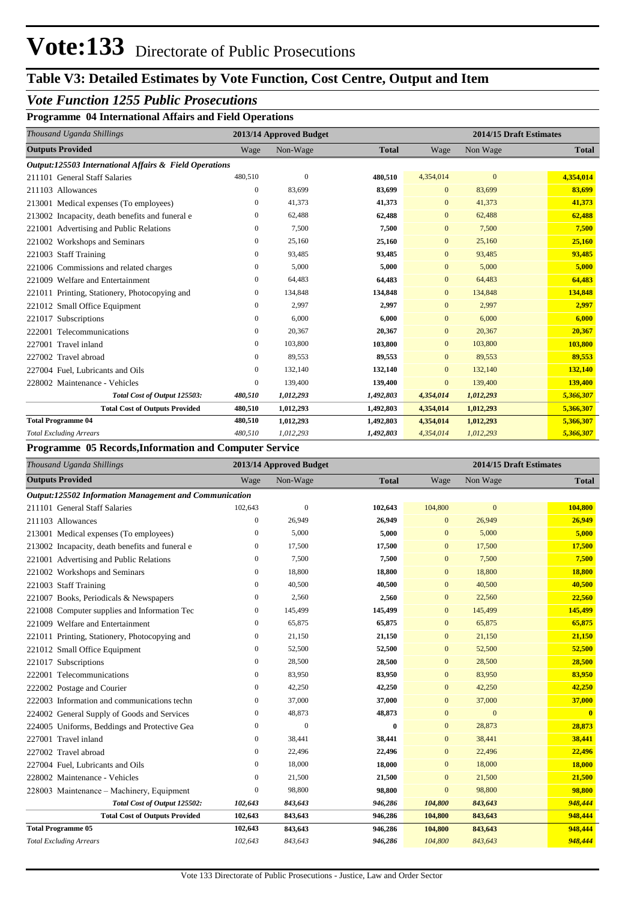## **Table V3: Detailed Estimates by Vote Function, Cost Centre, Output and Item**

### *Vote Function 1255 Public Prosecutions*

**Programme 04 International Affairs and Field Operations**

| Thousand Uganda Shillings                              |                  | 2013/14 Approved Budget |              |                |                  | 2014/15 Draft Estimates |
|--------------------------------------------------------|------------------|-------------------------|--------------|----------------|------------------|-------------------------|
| <b>Outputs Provided</b>                                | Wage             | Non-Wage                | <b>Total</b> | Wage           | Non Wage         | <b>Total</b>            |
| Output:125503 International Affairs & Field Operations |                  |                         |              |                |                  |                         |
| 211101 General Staff Salaries                          | 480,510          | $\mathbf{0}$            | 480,510      | 4,354,014      | $\boldsymbol{0}$ | 4,354,014               |
| 211103 Allowances                                      | $\mathbf{0}$     | 83,699                  | 83,699       | $\Omega$       | 83,699           | 83,699                  |
| 213001 Medical expenses (To employees)                 | 0                | 41,373                  | 41,373       | $\mathbf{0}$   | 41,373           | 41,373                  |
| 213002 Incapacity, death benefits and funeral e        | $\boldsymbol{0}$ | 62,488                  | 62,488       | $\mathbf{0}$   | 62,488           | 62,488                  |
| Advertising and Public Relations<br>221001             | $\mathbf{0}$     | 7,500                   | 7,500        | $\mathbf{0}$   | 7,500            | 7,500                   |
| Workshops and Seminars<br>221002                       | $\boldsymbol{0}$ | 25,160                  | 25,160       | $\mathbf{0}$   | 25,160           | 25,160                  |
| <b>Staff Training</b><br>221003                        | $\mathbf{0}$     | 93,485                  | 93,485       | $\mathbf{0}$   | 93,485           | 93,485                  |
| 221006 Commissions and related charges                 | $\mathbf{0}$     | 5,000                   | 5,000        | $\mathbf{0}$   | 5,000            | 5,000                   |
| 221009 Welfare and Entertainment                       | $\mathbf{0}$     | 64,483                  | 64,483       | $\overline{0}$ | 64,483           | 64,483                  |
| 221011 Printing, Stationery, Photocopying and          | $\mathbf{0}$     | 134,848                 | 134,848      | $\overline{0}$ | 134,848          | 134,848                 |
| 221012 Small Office Equipment                          | $\mathbf{0}$     | 2,997                   | 2,997        | $\overline{0}$ | 2.997            | 2,997                   |
| 221017 Subscriptions                                   | $\boldsymbol{0}$ | 6,000                   | 6,000        | $\overline{0}$ | 6,000            | 6,000                   |
| Telecommunications<br>222001                           | $\mathbf{0}$     | 20,367                  | 20,367       | $\overline{0}$ | 20,367           | 20,367                  |
| 227001 Travel inland                                   | $\mathbf{0}$     | 103,800                 | 103,800      | $\mathbf{0}$   | 103,800          | 103,800                 |
| 227002 Travel abroad                                   | $\mathbf{0}$     | 89,553                  | 89,553       | $\overline{0}$ | 89,553           | 89,553                  |
| 227004 Fuel. Lubricants and Oils                       | $\mathbf{0}$     | 132,140                 | 132,140      | $\overline{0}$ | 132,140          | 132,140                 |
| 228002 Maintenance - Vehicles                          | $\mathbf{0}$     | 139,400                 | 139,400      | $\mathbf{0}$   | 139,400          | 139,400                 |
| Total Cost of Output 125503:                           | 480,510          | 1,012,293               | 1,492,803    | 4,354,014      | 1,012,293        | 5,366,307               |
| <b>Total Cost of Outputs Provided</b>                  | 480,510          | 1,012,293               | 1,492,803    | 4,354,014      | 1,012,293        | 5,366,307               |
| <b>Total Programme 04</b>                              | 480,510          | 1,012,293               | 1,492,803    | 4,354,014      | 1,012,293        | 5,366,307               |
| <b>Total Excluding Arrears</b>                         | 480,510          | 1,012,293               | 1,492,803    | 4,354,014      | 1,012,293        | 5,366,307               |

#### **Programme 05 Records,Information and Computer Service**

| Thousand Uganda Shillings                              | 2013/14 Approved Budget |                |              | 2014/15 Draft Estimates |              |                         |  |  |
|--------------------------------------------------------|-------------------------|----------------|--------------|-------------------------|--------------|-------------------------|--|--|
| <b>Outputs Provided</b>                                | Wage                    | Non-Wage       | <b>Total</b> | Wage                    | Non Wage     | <b>Total</b>            |  |  |
| Output:125502 Information Management and Communication |                         |                |              |                         |              |                         |  |  |
| 211101 General Staff Salaries                          | 102,643                 | $\mathbf{0}$   | 102,643      | 104,800                 | $\mathbf{0}$ | 104,800                 |  |  |
| 211103 Allowances                                      | $\boldsymbol{0}$        | 26,949         | 26,949       | $\mathbf{0}$            | 26,949       | 26,949                  |  |  |
| 213001 Medical expenses (To employees)                 | $\mathbf{0}$            | 5,000          | 5,000        | $\mathbf{0}$            | 5,000        | 5,000                   |  |  |
| 213002 Incapacity, death benefits and funeral e        | $\mathbf{0}$            | 17,500         | 17,500       | $\mathbf{0}$            | 17,500       | 17,500                  |  |  |
| 221001 Advertising and Public Relations                | $\mathbf{0}$            | 7,500          | 7,500        | $\bf{0}$                | 7,500        | 7,500                   |  |  |
| 221002 Workshops and Seminars                          | $\mathbf{0}$            | 18,800         | 18,800       | $\overline{0}$          | 18,800       | 18,800                  |  |  |
| 221003 Staff Training                                  | $\mathbf{0}$            | 40,500         | 40,500       | $\bf{0}$                | 40,500       | 40,500                  |  |  |
| 221007 Books, Periodicals & Newspapers                 | $\mathbf{0}$            | 2,560          | 2,560        | $\overline{0}$          | 22,560       | 22,560                  |  |  |
| 221008 Computer supplies and Information Tec           | $\boldsymbol{0}$        | 145,499        | 145,499      | $\mathbf{0}$            | 145,499      | 145,499                 |  |  |
| 221009 Welfare and Entertainment                       | $\boldsymbol{0}$        | 65,875         | 65,875       | $\mathbf{0}$            | 65,875       | 65,875                  |  |  |
| 221011 Printing, Stationery, Photocopying and          | $\boldsymbol{0}$        | 21,150         | 21,150       | $\overline{0}$          | 21,150       | 21,150                  |  |  |
| 221012 Small Office Equipment                          | $\mathbf{0}$            | 52,500         | 52,500       | $\overline{0}$          | 52,500       | 52,500                  |  |  |
| 221017 Subscriptions                                   | $\mathbf{0}$            | 28,500         | 28,500       | $\bf{0}$                | 28,500       | 28,500                  |  |  |
| 222001 Telecommunications                              | $\mathbf{0}$            | 83,950         | 83,950       | $\mathbf{0}$            | 83,950       | 83,950                  |  |  |
| 222002 Postage and Courier                             | $\mathbf{0}$            | 42,250         | 42,250       | $\overline{0}$          | 42,250       | 42,250                  |  |  |
| 222003 Information and communications techn            | 0                       | 37,000         | 37,000       | $\mathbf{0}$            | 37,000       | 37,000                  |  |  |
| 224002 General Supply of Goods and Services            | $\mathbf{0}$            | 48,873         | 48,873       | $\overline{0}$          | $\mathbf{0}$ | $\overline{\mathbf{0}}$ |  |  |
| 224005 Uniforms, Beddings and Protective Gea           | $\mathbf{0}$            | $\overline{0}$ | $\bf{0}$     | $\mathbf{0}$            | 28,873       | 28,873                  |  |  |
| 227001 Travel inland                                   | $\mathbf{0}$            | 38,441         | 38,441       | $\mathbf{0}$            | 38,441       | 38,441                  |  |  |
| 227002 Travel abroad                                   | $\mathbf{0}$            | 22,496         | 22,496       | $\bf{0}$                | 22,496       | 22,496                  |  |  |
| 227004 Fuel. Lubricants and Oils                       | $\mathbf{0}$            | 18,000         | 18,000       | $\mathbf{0}$            | 18,000       | 18,000                  |  |  |
| 228002 Maintenance - Vehicles                          | $\mathbf{0}$            | 21,500         | 21,500       | $\mathbf{0}$            | 21,500       | 21,500                  |  |  |
| 228003 Maintenance - Machinery, Equipment              | $\mathbf{0}$            | 98,800         | 98,800       | $\overline{0}$          | 98,800       | 98,800                  |  |  |
| Total Cost of Output 125502:                           | 102,643                 | 843,643        | 946,286      | 104,800                 | 843,643      | 948,444                 |  |  |
| <b>Total Cost of Outputs Provided</b>                  | 102,643                 | 843,643        | 946,286      | 104,800                 | 843,643      | 948,444                 |  |  |
| <b>Total Programme 05</b>                              | 102,643                 | 843,643        | 946,286      | 104,800                 | 843,643      | 948,444                 |  |  |
| <b>Total Excluding Arrears</b>                         | 102,643                 | 843,643        | 946,286      | 104,800                 | 843,643      | 948,444                 |  |  |